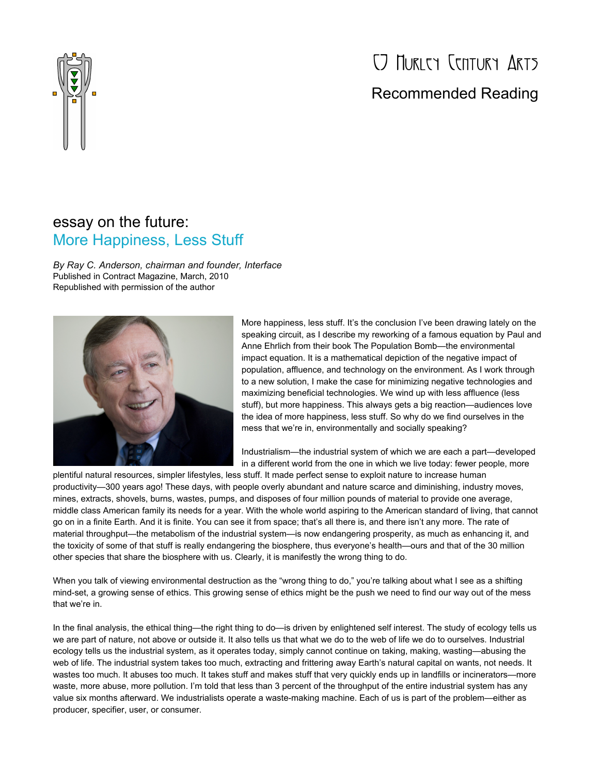

## CJ Hurley Century Arts Recommended Reading

## essay on the future: More Happiness, Less Stuff

*By Ray C. Anderson, chairman and founder, Interface* Published in Contract Magazine, March, 2010 Republished with permission of the author



More happiness, less stuff. It's the conclusion I've been drawing lately on the speaking circuit, as I describe my reworking of a famous equation by Paul and Anne Ehrlich from their book The Population Bomb—the environmental impact equation. It is a mathematical depiction of the negative impact of population, affluence, and technology on the environment. As I work through to a new solution, I make the case for minimizing negative technologies and maximizing beneficial technologies. We wind up with less affluence (less stuff), but more happiness. This always gets a big reaction—audiences love the idea of more happiness, less stuff. So why do we find ourselves in the mess that we're in, environmentally and socially speaking?

Industrialism—the industrial system of which we are each a part—developed in a different world from the one in which we live today: fewer people, more

plentiful natural resources, simpler lifestyles, less stuff. It made perfect sense to exploit nature to increase human productivity—300 years ago! These days, with people overly abundant and nature scarce and diminishing, industry moves, mines, extracts, shovels, burns, wastes, pumps, and disposes of four million pounds of material to provide one average, middle class American family its needs for a year. With the whole world aspiring to the American standard of living, that cannot go on in a finite Earth. And it is finite. You can see it from space; that's all there is, and there isn't any more. The rate of material throughput—the metabolism of the industrial system—is now endangering prosperity, as much as enhancing it, and the toxicity of some of that stuff is really endangering the biosphere, thus everyone's health—ours and that of the 30 million other species that share the biosphere with us. Clearly, it is manifestly the wrong thing to do.

When you talk of viewing environmental destruction as the "wrong thing to do," you're talking about what I see as a shifting mind-set, a growing sense of ethics. This growing sense of ethics might be the push we need to find our way out of the mess that we're in.

In the final analysis, the ethical thing—the right thing to do—is driven by enlightened self interest. The study of ecology tells us we are part of nature, not above or outside it. It also tells us that what we do to the web of life we do to ourselves. Industrial ecology tells us the industrial system, as it operates today, simply cannot continue on taking, making, wasting—abusing the web of life. The industrial system takes too much, extracting and frittering away Earth's natural capital on wants, not needs. It wastes too much. It abuses too much. It takes stuff and makes stuff that very quickly ends up in landfills or incinerators—more waste, more abuse, more pollution. I'm told that less than 3 percent of the throughput of the entire industrial system has any value six months afterward. We industrialists operate a waste-making machine. Each of us is part of the problem—either as producer, specifier, user, or consumer.